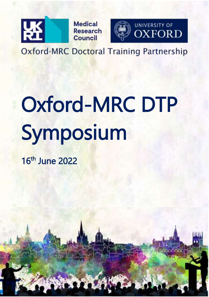



**Oxford-MRC Doctoral Training Partnership** 

# Oxford-MRC DTP Symposium

16th June 2022

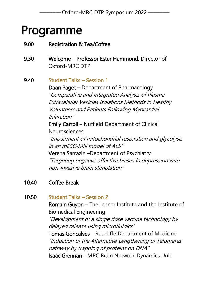### Programme

- 9.00 Registration & Tea/Coffee
- 9.30 Welcome Professor Ester Hammond, Director of Oxford-MRC DTP

9.40 Student Talks – Session 1

Daan Paget – Department of Pharmacology "Comparative and Integrated Analysis of Plasma Extracellular Vesicles Isolations Methods in Healthy Volunteers and Patients Following Myocardial Infarction"

Emily Carroll – Nuffield Department of Clinical Neurosciences

"Impairment of mitochondrial respiration and glycolysis in an mESC-MN model of ALS"

Verena Sarrazin –Department of Psychiatry "Targeting negative affective biases in depression with non-invasive brain stimulation"

10.40 Coffee Break

#### 10.50 Student Talks – Session 2

Romain Guyon – The Jenner Institute and the Institute of Biomedical Engineering

"Development of a single dose vaccine technology by delayed release using microfluidics"

Tomas Goncalves – Radcliffe Department of Medicine "Induction of the Alternative Lengthening of Telomeres pathway by trapping of proteins on DNA" Isaac Grennan – MRC Brain Network Dynamics Unit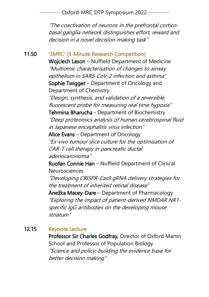Oxford-MRC DTP Symposium 2022 -

"The coactivation of neurons in the prefrontal corticobasal ganglia network distinguishes effort, reward and decision in a novel decision-making task"

#### 11.50 '3MRC' (3-Minute Research Competition)

Woiciech Lason – Nuffield Department of Medicine "Multiomic characterisation of changes to airway epithelium in SARS-CoV-2 infection and asthma" Sophie Twigger – Department of Oncology and Department of Chemistry

"Design, synthesis, and validation of a reversible, fluorescent probe for measuring real time hypoxia" Tehmina Bharucha - Department of Biochemistry

"Deep proteomics analysis of human cerebrospinal fluid in Japanese encephalitis virus infection"

Alice Evans – Department of Oncology

"Ex-vivo tumour slice culture for the optimisation of CAR-T cell therapy in pancreatic ductal adenocarcinoma"

Ruofan Connie Han - Nuffield Department of Clinical **Neurosciences** 

"Developing CRISPR-Cas9 gRNA delivery strategies for the treatment of inherited retinal disease"

Anežka Macey-Dare – Department of Pharmacology "Exploring the impact of patient-derived NMDAR NR1 specific IgG antibodies on the developing mouse striatum"

#### 12.15 Keynote Lecture

Professor Sir Charles Godfray, Director of Oxford Martin School and Professor of Population Biology "Science and policy: building the evidence base for better decision making"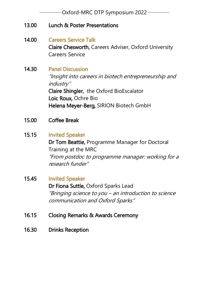Oxford-MRC DTP Symposium 2022 -

#### 13.00 Lunch & Poster Presentations

- 14.00 Careers Service Talk Claire Chesworth, Careers Adviser, Oxford University Careers Service
- 14.30 Panel Discussion "Insight into careers in biotech entrepreneurship and industry" Claire Shingler, the Oxford BioEscalator Loic Roux, Ochre Bio Helena Meyer-Berg, SIRION Biotech GmbH

#### 15.00 Coffee Break

15.15 Invited Speaker

Dr Tom Beattie, Programme Manager for Doctoral Training at the MRC "From postdoc to programme manager: working for a research funder"

- 15.45 Invited Speaker Dr Fiona Suttle, Oxford Sparks Lead "Bringing science to you – an introduction to science communication and Oxford Sparks"
- 16.15 Closing Remarks & Awards Ceremony
- 16.30 Drinks Reception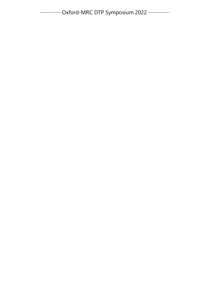\_\_\_\_\_\_\_\_\_\_\_\_\_\_\_ Oxford-MRC DTP Symposium 2022 \_\_\_\_\_\_\_\_\_\_\_\_\_\_\_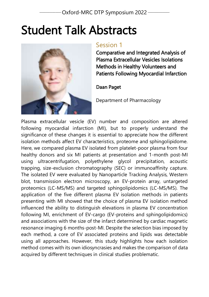## Student Talk Abstracts



#### Session 1

Comparative and Integrated Analysis of Plasma Extracellular Vesicles Isolations Methods in Healthy Volunteers and Patients Following Myocardial Infarction

#### Daan Paget

Department of Pharmacology

Plasma extracellular vesicle (EV) number and composition are altered following myocardial infarction (MI), but to properly understand the significance of these changes it is essential to appreciate how the different isolation methods affect EV characteristics, proteome and sphingolipidome. Here, we compared plasma EV isolated from platelet-poor plasma from four healthy donors and six MI patients at presentation and 1-month post-MI using ultracentrifugation, polyethylene glycol precipitation, acoustic trapping, size-exclusion chromatography (SEC) or immunoaffinity capture. The isolated EV were evaluated by Nanoparticle Tracking Analysis, Western blot, transmission electron microscopy, an EV-protein array, untargeted proteomics (LC-MS/MS) and targeted sphingolipidomics (LC-MS/MS). The application of the five different plasma EV isolation methods in patients presenting with MI showed that the choice of plasma EV isolation method influenced the ability to distinguish elevations in plasma EV concentration following MI, enrichment of EV-cargo (EV-proteins and sphingolipidomics) and associations with the size of the infarct determined by cardiac magnetic resonance imaging 6 months-post-MI. Despite the selection bias imposed by each method, a core of EV associated proteins and lipids was detectable using all approaches. However, this study highlights how each isolation method comes with its own idiosyncrasies and makes the comparison of data acquired by different techniques in clinical studies problematic.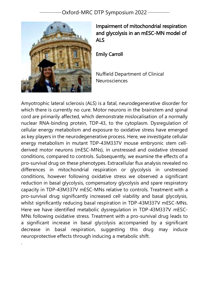

.

Impairment of mitochondrial respiration and glycolysis in an mESC-MN model of ALS

Emily Carroll

Nuffield Department of Clinical Neurosciences

Amyotrophic lateral sclerosis (ALS) is a fatal, neurodegenerative disorder for which there is currently no cure. Motor neurons in the brainstem and spinal cord are primarily affected, which demonstrate mislocalisation of a normally nuclear RNA-binding protein, TDP-43, to the cytoplasm. Dysregulation of cellular energy metabolism and exposure to oxidative stress have emerged as key players in the neurodegenerative process. Here, we investigate cellular energy metabolism in mutant TDP-43M337V mouse embryonic stem cellderived motor neurons (mESC-MNs), in unstressed and oxidative stressed conditions, compared to controls. Subsequently, we examine the effects of a pro-survival drug on these phenotypes. Extracellular flux analysis revealed no differences in mitochondrial respiration or glycolysis in unstressed conditions, however following oxidative stress we observed a significant reduction in basal glycolysis, compensatory glycolysis and spare respiratory capacity in TDP-43M337V mESC-MNs relative to controls. Treatment with a pro-survival drug significantly increased cell viability and basal glycolysis, whilst significantly reducing basal respiration in TDP-43M337V mESC-MNs. Here we have identified metabolic dysregulation in TDP-43M337V mESC-MNs following oxidative stress. Treatment with a pro-survival drug leads to a significant increase in basal glycolysis accompanied by a significant decrease in basal respiration, suggesting this drug may induce neuroprotective effects through inducing a metabolic shift.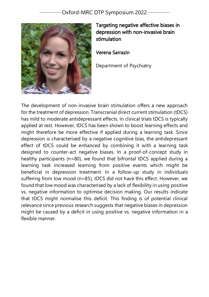

Targeting negative affective biases in depression with non-invasive brain stimulation

#### Verena Sarrazin

Department of Psychiatry

The development of non-invasive brain stimulation offers a new approach for the treatment of depression. Transcranial direct current stimulation (tDCS) has mild to moderate antidepressant effects. In clinical trials tDCS is typically applied at rest. However, tDCS has been shown to boost learning effects and might therefore be more effective if applied during a learning task. Since depression is characterised by a negative cognitive bias, the antidepressant effect of tDCS could be enhanced by combining it with a learning task designed to counter-act negative biases. In a proof-of-concept study in healthy participants (n=80), we found that bifrontal tDCS applied during a learning task increased learning from positive events which might be beneficial in depression treatment. In a follow-up study in individuals suffering from low mood (n=85), tDCS did not have this effect. However, we found that low mood was characterised by a lack of flexibility in using positive vs. negative information to optimise decision making. Our results indicate that tDCS might normalise this deficit. This finding is of potential clinical relevance since previous research suggests that negative biases in depression might be caused by a deficit in using positive vs. negative information in a flexible manner.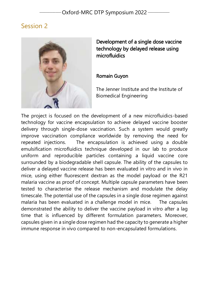Oxford-MRC DTP Symposium 2022 -

#### Session 2



Development of a single dose vaccine technology by delayed release using microfluidics

#### Romain Guyon

The Jenner Institute and the Institute of Biomedical Engineering

The project is focused on the development of a new microfluidics-based technology for vaccine encapsulation to achieve delayed vaccine booster delivery through single-dose vaccination. Such a system would greatly improve vaccination compliance worldwide by removing the need for repeated injections. The encapsulation is achieved using a double emulsification microfluidics technique developed in our lab to produce uniform and reproducible particles containing a liquid vaccine core surrounded by a biodegradable shell capsule. The ability of the capsules to deliver a delayed vaccine release has been evaluated in vitro and in vivo in mice, using either fluorescent dextran as the model payload or the R21 malaria vaccine as proof of concept. Multiple capsule parameters have been tested to characterise the release mechanism and modulate the delay timescale. The potential use of the capsules in a single dose regimen against malaria has been evaluated in a challenge model in mice. The capsules demonstrated the ability to deliver the vaccine payload in vitro after a lag time that is influenced by different formulation parameters. Moreover, capsules given in a single dose regimen had the capacity to generate a higher immune response in vivo compared to non-encapsulated formulations.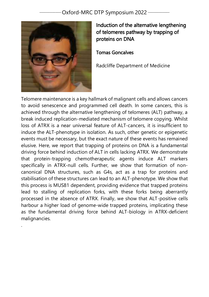#### Oxford-MRC DTP Symposium 2022



.

#### Induction of the alternative lengthening of telomeres pathway by trapping of proteins on DNA

#### Tomas Goncalves

Radcliffe Department of Medicine

Telomere maintenance is a key hallmark of malignant cells and allows cancers to avoid senescence and programmed cell death. In some cancers, this is achieved through the alternative lengthening of telomeres (ALT) pathway, a break induced replication-mediated mechanism of telomere copying. Whilst loss of ATRX is a near universal feature of ALT-cancers, it is insufficient to induce the ALT-phenotype in isolation. As such, other genetic or epigenetic events must be necessary, but the exact nature of these events has remained elusive. Here, we report that trapping of proteins on DNA is a fundamental driving force behind induction of ALT in cells lacking ATRX. We demonstrate that protein-trapping chemotherapeutic agents induce ALT markers specifically in ATRX-null cells. Further, we show that formation of noncanonical DNA structures, such as G4s, act as a trap for proteins and stabilisation of these structures can lead to an ALT-phenotype. We show that this process is MUS81 dependent, providing evidence that trapped proteins lead to stalling of replication forks, with these forks being aberrantly processed in the absence of ATRX. Finally, we show that ALT-positive cells harbour a higher load of genome-wide trapped proteins, implicating these as the fundamental driving force behind ALT-biology in ATRX-deficient malignancies.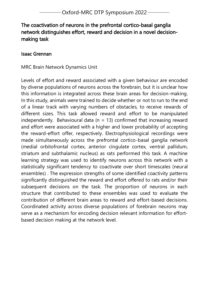#### The coactivation of neurons in the prefrontal cortico-basal ganglia network distinguishes effort, reward and decision in a novel decisionmaking task

#### Isaac Grennan

MRC Brain Network Dynamics Unit

Levels of effort and reward associated with a given behaviour are encoded by diverse populations of neurons across the forebrain, but it is unclear how this information is integrated across these brain areas for decision-making. In this study, animals were trained to decide whether or not to run to the end of a linear track with varying numbers of obstacles, to receive rewards of different sizes. This task allowed reward and effort to be manipulated independently. Behavioural data ( $n = 13$ ) confirmed that increasing reward and effort were associated with a higher and lower probability of accepting the reward-effort offer, respectively. Electrophysiological recordings were made simultaneously across the prefrontal cortico-basal ganglia network (medial orbitofrontal cortex, anterior cingulate cortex, ventral pallidum, striatum and subthalamic nucleus) as rats performed this task. A machine learning strategy was used to identify neurons across this network with a statistically significant tendency to coactivate over short timescales (neural ensembles) . The expression strengths of some identified coactivity patterns significantly distinguished the reward and effort offered to rats and/or their subsequent decisions on the task. The proportion of neurons in each structure that contributed to these ensembles was used to evaluate the contribution of different brain areas to reward and effort-based decisions. Coordinated activity across diverse populations of forebrain neurons may serve as a mechanism for encoding decision relevant information for effortbased decision making at the network level.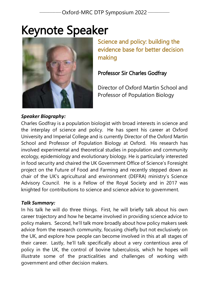## Keynote Speaker



Science and policy: building the evidence base for better decision making

#### Professor Sir Charles Godfray

Director of Oxford Martin School and Professor of Population Biology

#### *Speaker Biography:*

Charles Godfray is a population biologist with broad interests in science and the interplay of science and policy. He has spent his career at Oxford University and Imperial College and is currently Director of the Oxford Martin School and Professor of Population Biology at Oxford. His research has involved experimental and theoretical studies in population and community ecology, epidemiology and evolutionary biology. He is particularly interested in food security and chaired the UK Government Office of Science's Foresight project on the Future of Food and Farming and recently stepped down as chair of the UK's agricultural and environment (DEFRA) ministry's Science Advisory Council. He is a Fellow of the Royal Society and in 2017 was knighted for contributions to science and science advice to government.

#### *Talk Summary:*

In his talk he will do three things. First, he will briefly talk about his own career trajectory and how he became involved in providing science advice to policy makers. Second, he'll talk more broadly about how policy makers seek advice from the research community, focusing chiefly but not exclusively on the UK, and explore how people can become involved in this at all stages of their career. Lastly, he'll talk specifically about a very contentious area of policy in the UK, the control of bovine tuberculosis, which he hopes will illustrate some of the practicalities and challenges of working with government and other decision makers.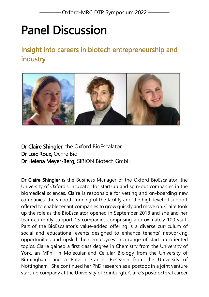Oxford-MRC DTP Symposium 2022 -

## Panel Discussion

#### Insight into careers in biotech entrepreneurship and industry



#### Dr Claire Shingler, the Oxford BioEscalator Dr Loic Roux, Ochre Bio Dr Helena Meyer-Berg, SIRION Biotech GmbH

Dr Claire Shingler is the Business Manager of the Oxford BioEscalator, the University of Oxford's incubator for start-up and spin-out companies in the biomedical sciences. Claire is responsible for vetting and on-boarding new companies, the smooth running of the facility and the high level of support offered to enable tenant companies to grow quickly and move on. Claire took up the role as the BioEscalator opened in September 2018 and she and her team currently support 15 companies comprising approximately 100 staff. Part of the BioEscalator's value-added offering is a diverse curriculum of social and educational events designed to enhance tenants' networking opportunities and upskill their employees in a range of start-up oriented topics. Claire gained a first class degree in Chemistry from the University of York, an MPhil in Molecular and Cellular Biology from the University of Birmingham, and a PhD in Cancer Research from the University of Nottingham. She continued her PhD research as a postdoc in a joint venture start-up company at the University of Edinburgh. Claire's postdoctoral career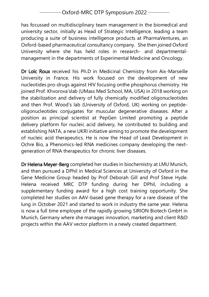#### Oxford-MRC DTP Symposium 2022 -

has focussed on multidisciplinary team management in the biomedical and university sector, initially as Head of Strategic Intelligence, leading a team producing a suite of business intelligence products at PharmaVentures, an Oxford-based pharmaceutical consultancy company. She then joined Oxford University where she has held roles in research- and departmentalmanagement in the departments of Experimental Medicine and Oncology.

Dr Loïc Roux received his Ph.D in Medicinal Chemistry from Aix-Marseille University in France. His work focused on the development of new nucleotides pro-drugs against HIV focusing onthe phosphorus chemistry. He joined Prof. Khvorova'slab (UMass Med School, MA, USA) in 2018 working on the stabilization and delivery of fully chemically modified oligonucleotides and then Prof. Wood's lab (University of Oxford, UK) working on peptideoligonucleotides conjugates for muscular degenerative diseases. After a position as principal scientist at PepGen Limited promoting a peptide delivery platform for nucleic acid delivery, he contributed to building and establishing NATA, a new UKRI initiative aiming to promote the development of nucleic acid therapeutics. He is now the Head of Lead Development in Ochre Bio, a Phenomics-led RNA medicines company developing the nextgeneration of RNA therapeutics for chronic liver diseases.

Dr Helena Meyer-Berg completed her studies in biochemistry at LMU Munich, and then pursued a DPhil in Medical Sciences at University of Oxford in the Gene Medicine Group headed by Prof Deborah Gill and Prof Steve Hyde. Helena received MRC DTP funding during her DPhil, including a supplementary funding award for a high cost training opportunity. She completed her studies on AAV-based gene therapy for a rare disease of the lung in October 2021 and started to work in industry the same year. Helena is now a full time employee of the rapidly growing SIRION Biotech GmbH in Munich, Germany where she manages innovation, marketing and client R&D projects within the AAV vector platform in a newly created department.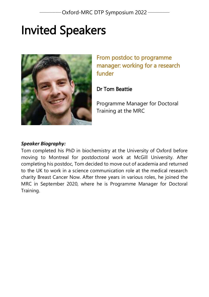## Invited Speakers



From postdoc to programme manager: working for a research funder

#### Dr Tom Beattie

Programme Manager for Doctoral Training at the MRC

#### *Speaker Biography:*

Tom completed his PhD in biochemistry at the University of Oxford before moving to Montreal for postdoctoral work at McGill University. After completing his postdoc, Tom decided to move out of academia and returned to the UK to work in a science communication role at the medical research charity Breast Cancer Now. After three years in various roles, he joined the MRC in September 2020, where he is Programme Manager for Doctoral Training.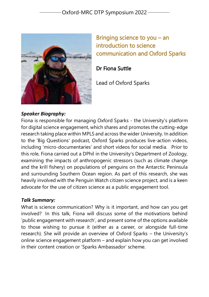

Bringing science to you – an introduction to science communication and Oxford Sparks

#### Dr Fiona Suttle

Lead of Oxford Sparks

#### *Speaker Biography:*

Fiona is responsible for managing Oxford Sparks - the University's platform for digital science engagement, which shares and promotes the cutting-edge research taking place within MPLS and across the wider University. In addition to the 'Big Questions' podcast, Oxford Sparks produces live-action videos, including 'micro-documentaries' and short videos for social media. Prior to this role, Fiona carried out a DPhil in the University's Department of Zoology, examining the impacts of anthropogenic stressors (such as climate change and the krill fishery) on populations of penguins on the Antarctic Peninsula and surrounding Southern Ocean region. As part of this research, she was heavily involved with the Penguin Watch citizen science project, and is a keen advocate for the use of citizen science as a public engagement tool.

#### *Talk Summary:*

What is science communication? Why is it important, and how can you get involved? In this talk, Fiona will discuss some of the motivations behind 'public engagement with research', and present some of the options available to those wishing to pursue it (either as a career, or alongside full-time research). She will provide an overview of Oxford Sparks – the University's online science engagement platform – and explain how you can get involved in their content creation or 'Sparks Ambassador' scheme.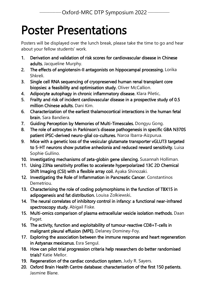## Poster Presentations

Posters will be displayed over the lunch break, please take the time to go and hear about your fellow students' work.

- 1. Derivation and validation of risk scores for cardiovascular disease in Chinese adults. Jacqueline Murphy.
- 2. The effects of angiotensin-II antagonists on hippocampal processing. Lorika Shkreli.
- 3. Single cell RNA sequencing of cryopreserved human renal transplant core biopsies: a feasibility and optimisation study. Oliver McCallion.
- 4. Adipocyte autophagy in chronic inflammatory disease. Klara Piletic.
- 5. Frailty and risk of incident cardiovascular disease in a prospective study of 0.5 million Chinese adults. Dani Kim.
- 6. Characterization of the earliest thalamocortical interactions in the human fetal brain. Sara Bandiera.
- 7. Guiding Perception by Memories of Multi-Timescales. Dongyu Gong.
- 8. The role of astrocytes in Parkinson's disease pathogenesis in specific GBA N370S patient iPSC-derived neuro-glial co-cultures. Naroa Ibarra-Aizpurua.
- 9. Mice with a genetic loss of the vesicular glutamate transporter vGLUT3 targeted to 5-HT neurons show putative anhedonia and reduced reward sensitivity. Luisa Sophie Gullino.
- 10. Investigating mechanisms of zeta-globin gene silencing. Susannah Holliman.
- 11. Using 23Na sensitivity profiles to accelerate hyperpolarized 13C 2D Chemical Shift Imaging (CSI) with a flexible array coil. Ayaka Shinozaki.
- 12. Investigating the Role of Inflammation in Pancreatic Cancer. Constantinos Demetriou.
- 13. Characterising the role of coding polymorphisms in the function of TBX15 in adipogenesis and fat distribution. Louisa Zolkiewski.
- 14. The neural correlates of inhibitory control in infancy: a functional near-infrared spectroscopy study. Abigail Fiske.
- 15. Multi-omics comparison of plasma extracellular vesicle isolation methods. Daan Paget.
- 16. The activity, function and exploitability of tumour-reactive CD8+T-cells in malignant pleural effusion (MPE). Delaney Dominey-Foy.
- 17. Exploring the association between the immune response and heart regeneration in Astyanax mexicanus. Esra Sengul.
- 18. How can pilot trial progression criteria help researchers do better randomised trials? Katie Mellor.
- 19. Regeneration of the cardiac conduction system. Judy R. Sayers.
- 20. Oxford Brain Health Centre database: characterisation of the first 150 patients. Jasmine Blane.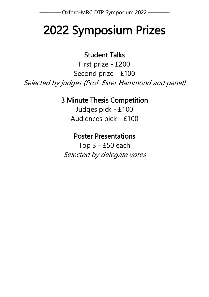## 2022 Symposium Prizes

#### Student Talks

First prize - £200 Second prize - £100 Selected by judges (Prof. Ester Hammond and panel)

#### 3 Minute Thesis Competition

Judges pick - £100 Audiences pick - £100

#### Poster Presentations

Top 3 - £50 each Selected by delegate votes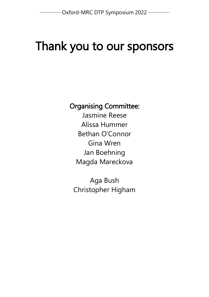## Thank you to our sponsors

Organising Committee:

Jasmine Reese Alissa Hummer Bethan O'Connor Gina Wren Jan Boehning Magda Mareckova

Aga Bush Christopher Higham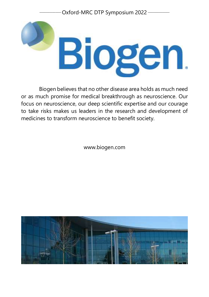

Biogen believes that no other disease area holds as much need or as much promise for medical breakthrough as neuroscience. Our focus on neuroscience, our deep scientific expertise and our courage to take risks makes us leaders in the research and development of medicines to transform neuroscience to benefit society.

[www.biogen.com](http://www.biogen.com/)

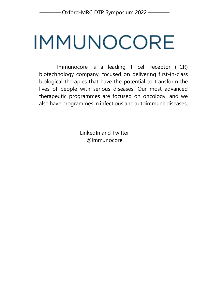## **IMMUNOCORE**

Immunocore is a leading T cell receptor (TCR) biotechnology company, focused on delivering first-in-class biological therapies that have the potential to transform the lives of people with serious diseases. Our most advanced therapeutic programmes are focused on oncology, and we also have programmes in infectious and autoimmune diseases.

> LinkedIn and Twitter @Immunocore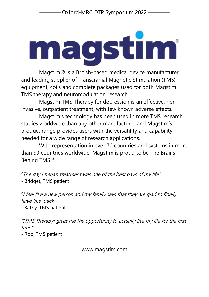# magstim

Magstim® is a British-based medical device manufacturer and leading supplier of Transcranial Magnetic Stimulation (TMS) equipment, coils and complete packages used for both Magstim TMS therapy and neuromodulation research.

Magstim TMS Therapy for depression is an effective, noninvasive, outpatient treatment, with few known adverse effects.

Magstim's technology has been used in more TMS research studies worldwide than any other manufacturer and Magstim's product range provides users with the versatility and capability needed for a wide range of research applications.

With representation in over 70 countries and systems in more than 90 countries worldwide, Magstim is proud to be The Brains Behind TMS™.

"The day I began treatment was one of the best days of my life." - Bridget, TMS patient

"I feel like a new person and my family says that they are glad to finally have 'me' back."

- Kathy, TMS patient

"[TMS Therapy] gives me the opportunity to actually live my life for the first time."

- Rob, TMS patient

[www.magstim.com](http://www.magstim.com/)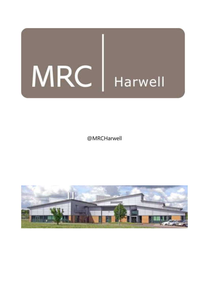

@MRCHarwell

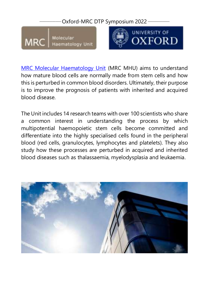#### Oxford-MRC DTP Symposium 2022





[MRC Molecular Haematology Unit](https://www.imm.ox.ac.uk/research/units-and-centres/mrc-molecular-haematology-unit/mrc-molecular-haematology-unit) (MRC MHU) aims to understand how mature blood cells are normally made from stem cells and how this is perturbed in common blood disorders. Ultimately, their purpose is to improve the prognosis of patients with inherited and acquired blood disease.

The Unit includes 14 research teams with over 100 scientists who share a common interest in understanding the process by which multipotential haemopoietic stem cells become committed and differentiate into the highly specialised cells found in the peripheral blood (red cells, granulocytes, lymphocytes and platelets). They also study how these processes are perturbed in acquired and inherited blood diseases such as thalassaemia, myelodysplasia and leukaemia.

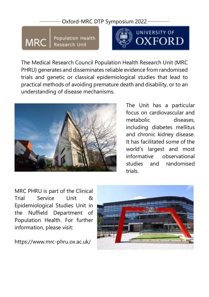#### Oxford-MRC DTP Symposium 2022





The Medical Research Council Population Health Research Unit (MRC PHRU) generates and disseminates reliable evidence from randomised trials and genetic or classical epidemiological studies that lead to practical methods of avoiding premature death and disability, or to an understanding of disease mechanisms.



The Unit has a particular focus on cardiovascular and metabolic diseases. including diabetes mellitus and chronic kidney disease. It has facilitated some of the world's largest and most informative observational studies and randomised trials.

MRC PHRU is part of the Clinical Trial Service Unit & Epidemiological Studies Unit in the Nuffield Department of Population Health. For further information, please visit:

<https://www.mrc-phru.ox.ac.uk/>